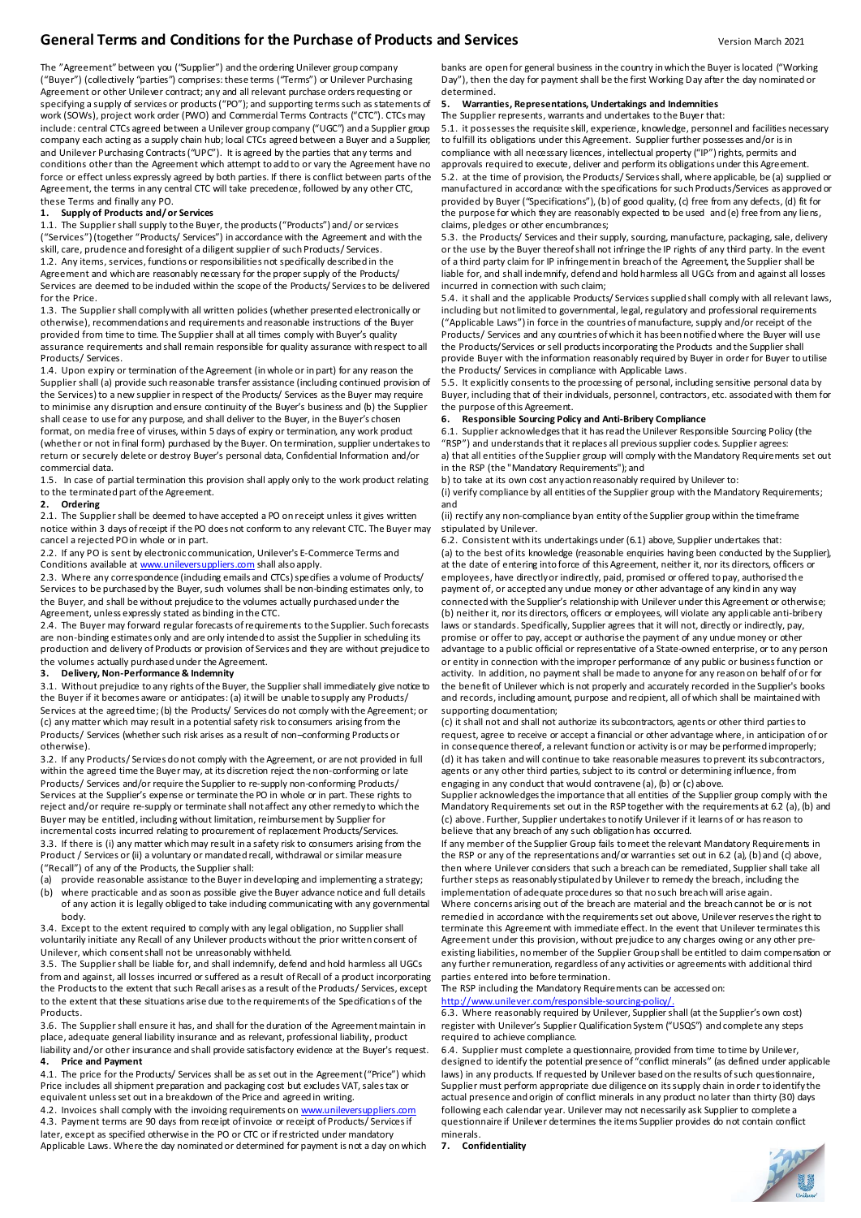## **General Terms and Conditions for the Purchase of Products and Services** Version March 2021

The "Agreement" between you ("Supplier") and the ordering Unilever group company ("Buyer") (collectively "parties") comprises: these terms ("Terms") or Unilever Purchasing Agreement or other Unilever contract; any and all relevant purchase orders requesting or specifying a supply of services or products ("PO"); and supporting terms such as statements of work (SOWs), project work order (PWO) and Commercial Terms Contracts ("CTC"). CTCs may include: central CTCs agreed between a Unilever group company ("UGC") and a Supplier group company each acting as a supply chain hub; local CTCs agreed between a Buyer and a Supplier; and Unilever Purchasing Contracts ("UPC"). It is agreed by the parties that any terms and conditions other than the Agreement which attempt to add to or vary the Agreement have no force or effect unless expressly agreed by both parties. If there is conflict between parts of the Agreement, the terms in any central CTC will take precedence, followed by any other CTC,

#### these Terms and finally any PO.<br>1. Supply of Products and/o **1. Supply of Products and/ or Services**

1.1. The Supplier shall supply to the Buyer, the products ("Products") and/ or services ("Services") (together "Products/ Services") in accordance with the Agreement and with the skill, care, prudence and foresight of a diligent supplier of such Products/ Services. 1.2. Any items, services, functions or responsibilities not specifically described in the Agreement and which are reasonably necessary for the proper supply of the Products/ Services are deemed to be included within the scope of the Products/ Services to be delivered for the Price.

1.3. The Supplier shall comply with all written policies (whether presented electronically or otherwise), recommendations and requirements and reasonable instructions of the Buyer provided from time to time. The Supplier shall at all times comply with Buyer's quality assurance requirements and shall remain responsible for quality assurance with respect to all Products/ Services.

1.4. Upon expiry or termination of the Agreement (in whole or in part) for any reason the Supplier shall (a) provide such reasonable transfer assistance (including continued provision of the Services) to a new supplier in respect of the Products/ Services as the Buyer may require to minimise any disruption and ensure continuity of the Buyer's business and (b) the Supplier shall cease to use for any purpose, and shall deliver to the Buyer, in the Buyer's chosen format, on media free of viruses, within 5 days of expiry or termination, any work product (whether or not in final form) purchased by the Buyer. On termination, supplier undertakes to return or securely delete or destroy Buyer's personal data, Confidential Information and/or commercial data.

1.5. In case of partial termination this provision shall apply only to the work product relating to the terminated part of the Agreement.

#### **2. Ordering**

2.1. The Supplier shall be deemed to have accepted a PO on receipt unless it gives written notice within 3 days of receipt if the PO does not conform to any relevant CTC. The Buyer may cancel a rejected PO in whole or in part.

2.2. If any PO is sent by electronic communication, Unilever's E-Commerce Terms and Conditions available [at www.unileversuppliers.com](http://www.unileversuppliers.com/) shall also apply.

2.3. Where any correspondence (induding emails and CTCs) specifies a volume of Products/ Services to be purchased by the Buyer, such volumes shall be non-binding estimates only, to the Buyer, and shall be without prejudice to the volumes actually purchased under the Agreement, unless expressly stated as binding in the CTC.

2.4. The Buyer may forward regular forecasts of requirements to the Supplier. Such forecasts are non-binding estimates only and are only intended to assist the Supplier in scheduling its production and delivery of Products or provision of Services and they are without prejudice to the volumes actually purchased under the Agreement.

#### **3. Delivery, Non-Performance & Indemnity**

3.1. Without prejudice to any rights of the Buyer, the Supplier shall immediately give notice to the Buyer if it becomes aware or anticipates: (a) it will be unable to supply any Products/ Services at the agreed time; (b) the Products/ Services do not comply with the Agreement; or (c) any matter which may result in a potential safety risk to consumers arising from the Products/ Services (whether such risk arises as a result of non–conforming Products or otherwise).

3.2. If any Products/ Services do not comply with the Agreement, or are not provided in full within the agreed time the Buyer may, at its discretion reject the non-conforming or late Products/ Services and/or require the Supplier to re-supply non-conforming Products/ Services at the Supplier's expense or terminate the PO in whole or in part. These rights to reject and/or require re-supply or terminate shall not affect any other remedy to which the Buyer may be entitled, including without limitation, reimbursement by Supplier for incremental costs incurred relating to procurement of replacement Products/Services. 3.3. If there is (i) any matter which may result in a safety risk to consumers arising from the Product / Services or (ii) a voluntary or mandated recall, withdrawal or similar measure ("Recall") of any of the Products, the Supplier shall:

(a) provide reasonable assistance to the Buyer in developing and implementing a strategy;

(b) where practicable and as soon as possible give the Buyer advance notice and full details of any action it is legally obliged to take induding communicating with any governmental body.

3.4. Except to the extent required to comply with any legal obligation, no Supplier shall voluntarily initiate any Recall of any Unilever products without the prior written consent of Unilever, which consentshall not be unreasonably withheld.

3.5. The Supplier shall be liable for, and shall indemnify, defend and hold harmless all UGCs from and against, all losses incurred or suffered as a result of Recall of a product incorporating the Products to the extent that such Recall arises as a result of the Products/ Services, except to the extent that these situations arise due to the requirements of the Specifications of the Products.

3.6. The Supplier shall ensure it has, and shall for the duration of the Agreementmaintain in place, adequate general liability insurance and as relevant, professional liability, product liability and/or other insurance and shall provide satisfactory evidence at the Buyer's request.

**4. Price and Payment** 4.1. The price for the Products/ Services shall be as set out in the Agreement("Price") which Price includes all shipment preparation and packaging cost but excludes VAT, sales tax or equivalent unless set out in a breakdown of the Price and agreed in writing.

4.2. Invoices shall comply with the invoicing requirements on [www.unileversuppliers.com](http://www.unileversuppliers.com/) 4.3. Payment terms are 90 days from receipt of invoice or receipt of Products/ Services if later, except as specified otherwise in the PO or CTC or if restricted under mandatory Applicable Laws. Where the day nominated or determined for payment is not a day on which banks are open for general business in the country in which the Buyer is located ("Working Day"), then the day for payment shall be the first Working Day after the day nominated or determined.

### **5. Warranties, Representations, Undertakings and Indemnities**

The Supplier represents, warrants and undertakes to the Buyer that: 5.1. it possesses the requisite skill, experience, knowledge, personnel and facilities necessary to fulfill its obligations under this Agreement. Supplier further possesses and/or is in compliance with all necessary licences, intellectual property ("IP") rights, permits and approvals required to execute, deliver and perform its obligations under this Agreement.

5.2. at the time of provision, the Products/ Services shall, where applicable, be (a) supplied or manufactured in accordance with the specifications for such Products/Services as approved or provided by Buyer ("Specifications"), (b) of good quality, (c) free from any defects, (d) fit for the purpose for which they are reasonably expected to be used and (e) free from any liens, claims, pledges or other encumbrances;

5.3. the Products/ Services and their supply, sourcing, manufacture, packaging, sale, delivery or the use by the Buyer thereof shall not infringe the IP rights of any third party. In the event of a third party claim for IP infringement in breach of the Agreement, the Supplier shall be liable for, and shall indemnify, defend and hold harmless all UGCs from and against all losses incurred in connection with such claim;

5.4. it shall and the applicable Products/ Services supplied shall comply with all relevant laws, including but not limited to governmental, legal, regulatory and professional requirements ("Applicable Laws") in force in the countries of manufacture, supply and/or receipt of the Products/ Services and any countries of which it has been notified where the Buyer will use the Products/Services or sell products incorporating the Products and the Supplier shall provide Buyer with the information reasonably required by Buyer in order for Buyer to utilise the Products/ Services in compliance with Applicable Laws.

5.5. It explicitly consents to the processing of personal, including sensitive personal data by Buyer, including that of their individuals, personnel, contractors, etc. associated with them for the purpose of this Agreement.

#### **6. Responsible Sourcing Policy and Anti-Bribery Compliance**

6.1. Supplier acknowledges that it has read the Unilever Responsible Sourcing Policy (the "RSP") and understands that it replaces all previous supplier codes. Supplier agrees: a) that all entities of the Supplier group will comply with the Mandatory Requirements set out in the RSP (the "Mandatory Requirements"); and

b) to take at its own cost any action reasonably required by Unilever to:

(i) verify compliance by all entities of the Supplier group with the Mandatory Requirements; and

(ii) rectify any non-compliance by an entity of the Supplier group within the timeframe stipulated by Unilever.

6.2. Consistent with its undertakings under (6.1) above, Supplier undertakes that: (a) to the best of its knowledge (reasonable enquiries having been conducted by the Supplier), at the date of entering into force of this Agreement, neither it, nor its directors, officers or employees, have directly or indirectly, paid, promised or offered to pay, authorised the payment of, or accepted any undue money or other advantage of any kind in any way connected with the Supplier's relationship with Unilever under this Agreement or otherwise; (b) neither it, nor its directors, officers or employees, will violate any applicable anti-bribery laws or standards. Specifically, Supplier agrees that it will not, directly or indirectly, pay, promise or offer to pay, accept or authorise the payment of any undue money or other advantage to a public official or representative of a State-owned enterprise, or to any person or entity in connection with the improper performance of any public or business function or activity. In addition, no payment shall be made to anyone for any reason on behalf of or for the benefit of Unilever which is not properly and accurately recorded in the Supplier's books and records, including amount, purpose and recipient, all of which shall be maintained with supporting documentation;

(c) it shall not and shall not authorize its subcontractors, agents or other third parties to request, agree to receive or accept a financial or other advantage where, in anticipation of or in consequence thereof, a relevant function or activity is or may be performed improperly; (d) it has taken and will continue to take reasonable measures to prevent its subcontractors, agents or any other third parties, subject to its control or determining influence, from engaging in any conduct that would contravene (a), (b) or (c) above.

Supplier acknowledges the importance that all entities of the Supplier group comply with the Mandatory Requirements set out in the RSP together with the requirements at 6.2 (a), (b) and (c) above. Further, Supplier undertakes to notify Unilever if it learns of or has reason to believe that any breach of any such obligation has occurred.

If any member of the Supplier Group fails to meet the relevant Mandatory Requirements in the RSP or any of the representations and/or warranties set out in 6.2 (a), (b) and (c) above, then where Unilever considers that such a breach can be remediated, Supplier shall take all further steps as reasonably stipulated by Unilever to remedy the breach, including the implementation of adequate procedures so that no such breach will arise again.

Where concerns arising out of the breach are material and the breach cannot be or is not remedied in accordance with the requirements set out above, Unilever reserves the right to terminate this Agreement with immediate effect. In the event that Unilever terminates this Agreement under this provision, without prejudice to any charges owing or any other preexisting liabilities, no member of the Supplier Group shall be entitled to daim compensation or any further remuneration, regardless of any activities or agreements with additional third parties entered into before termination.

The RSP including the Mandatory Requirements can be accessed on: [http://www.unilever.com/responsible-sourcing-policy/.](http://www.unilever.com/responsible-sourcing-policy/)

6.3. Where reasonably required by Unilever, Supplier shall (at the Supplier's own cost) register with Unilever's Supplier Qualification System ("USQS") and complete any steps required to achieve compliance.

6.4. Supplier must complete a questionnaire, provided from time to time by Unilever, designed to identify the potential presence of "conflict minerals" (as defined under applicable laws) in any products. If requested by Unilever based on the results of such questionnaire, Supplier must perform appropriate due diligence on its supply chain in orde r to identify the actual presence and origin of conflict minerals in any product no later than thirty (30) days following each calendar year. Unilever may not necessarily ask Supplier to complete a questionnaire if Unilever determines the items Supplier provides do not contain conflict minerals.

**7. Confidentiality**

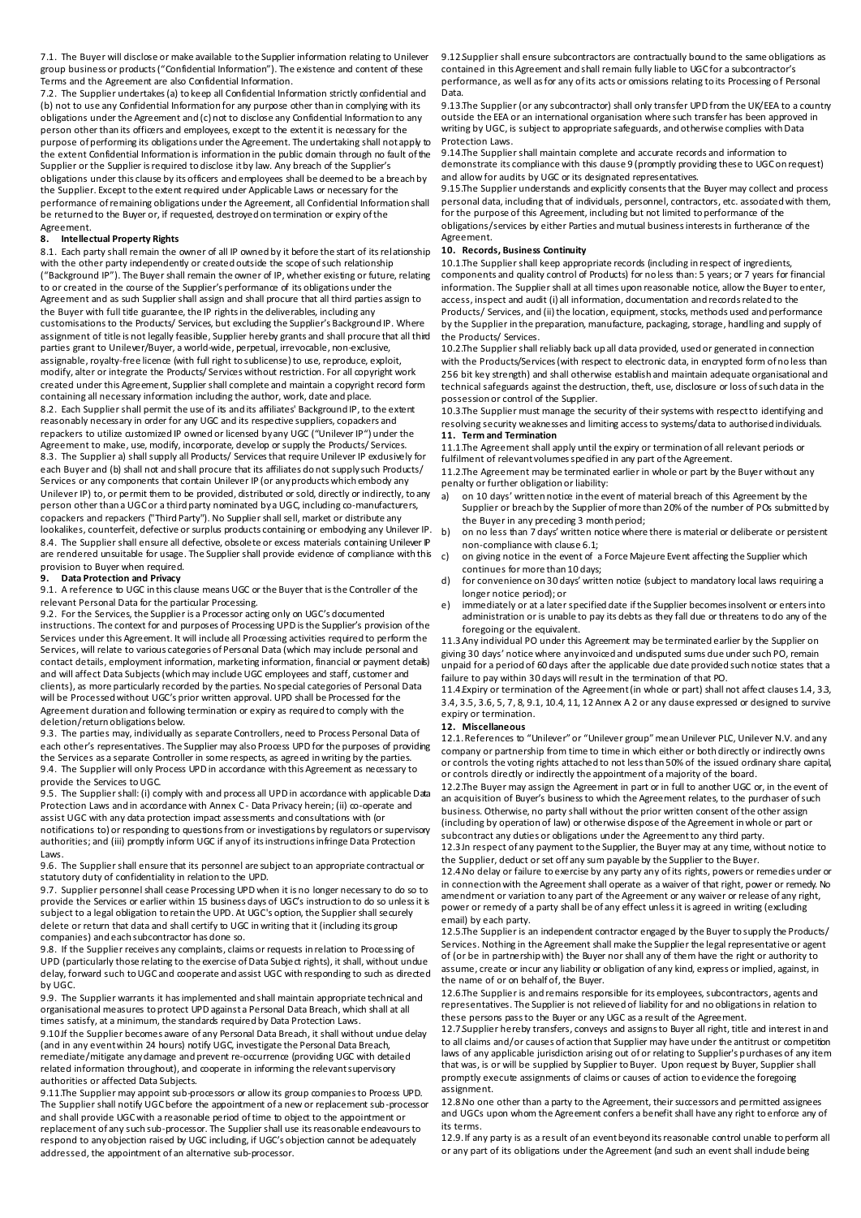7.1. The Buyer will disclose or make available to the Supplier information relating to Unilever group business or products ("Confidential Information"). The existence and content of these Terms and the Agreement are also Confidential Information.

7.2. The Supplier undertakes (a) to keep all Confidential Information strictly confidential and (b) not to use any Confidential Information for any purpose other than in complying with its obligations under the Agreement and (c) not to disclose any Confidential Information to any person other than its officers and employees, except to the extent it is necessary for the purpose of performing its obligations under the Agreement. The undertaking shall not apply to the extent Confidential Information is information in the public domain through no fault of the Supplier or the Supplier is required to disclose it by law. Any breach of the Supplier's obligations under this clause by its officers and employees shall be deemed to be a breach by the Supplier. Except to the extent required under Applicable Laws or necessary for the performance of remaining obligations under the Agreement, all Confidential Information shall be returned to the Buyer or, if requested, destroyed on termination or expiry of the Agreement.

#### **8. Intellectual Property Rights**

8.1. Each party shall remain the owner of all IP owned by it before the start of its relationship with the other party independently or created outside the scope of such relationship ("Background IP"). The Buyer shall remain the owner of IP, whether existing or future, relating to or created in the course of the Supplier's performance of its obligations under the Agreement and as such Supplier shall assign and shall procure that all third parties assign to the Buyer with full title guarantee, the IP rights in the deliverables, including any customisations to the Products/ Services, but excluding the Supplier's Background IP. Where assignment of title is not legally feasible, Supplier hereby grants and shall procure that all third parties grant to Unilever/Buyer, a world-wide, perpetual, irrevocable, non-exclusive, assignable, royalty-free licence (with full right to sublicense) to use, reproduce, exploit, modify, alter or integrate the Products/ Services without restriction. For all copyright work created under this Agreement, Supplier shall complete and maintain a copyright record form containing all necessary information including the author, work, date and place. 8.2. Each Supplier shall permit the use of its and its affiliates' Background IP, to the extent reasonably necessary in order for any UGC and its respective suppliers, copackers and repackers to utilize customized IP owned or licensed by any UGC ("Unilever IP") under the Agreement to make, use, modify, incorporate, develop or supply the Products/ Services. 8.3. The Supplier a) shall supply all Products/ Servicesthat require Unilever IP exclusively for each Buyer and (b) shall not and shall procure that its affiliates do not supply such Products/ Services or any components that contain Unilever IP (or any products which embody any Unilever IP) to, or permit them to be provided, distributed or sold, directly or indirectly, to any person other than a UGC or a third party nominated by a UGC, including co-manufacturers, copackers and repackers ("Third Party"). No Supplier shall sell, market or distribute any lookalikes, counterfeit, defective or surplus products containing or embodying any Unilever IP. 8.4. The Supplier shall ensure all defective, obsolete or excess materials containing Unilever P are rendered unsuitable for usage. The Supplier shall provide evidence of compliance with this

#### provision to Buyer when required.<br>9 Data Protection and Privacy **9. Data Protection and Privacy**

9.1. A reference to UGC in this clause means UGC or the Buyer that is the Controller of the relevant Personal Data for the particular Processing.

9.2. For the Services, the Supplier is a Processor acting only on UGC's documented instructions. The context for and purposes of Processing UPD is the Supplier's provision of the Services under this Agreement. It will include all Processing activities required to perform the Services, will relate to various categories of Personal Data (which may include personal and contact details, employment information, marketing information, financial or payment details) and will affect Data Subjects (which may include UGC employees and staff, customer and clients), as more particularly recorded by the parties. No special categories of Personal Data will be Processed without UGC's prior written approval. UPD shall be Processed for the Agreement duration and following termination or expiry as required to comply with the deletion/return obligations below.

9.3. The parties may, individually as separate Controllers, need to Process Personal Data of each other's representatives. The Supplier may also Process UPD for the purposes of providing the Services as a separate Controller in some respects, as agreed in writing by the parties. 9.4. The Supplier will only Process UPD in accordance with this Agreement as necessary to provide the Services to UGC.

9.5. The Supplier shall: (i) comply with and process all UPD in accordance with applicable Data Protection Laws and in accordance with Annex C - Data Privacy herein; (ii) co-operate and assist UGC with any data protection impact assessments and consultations with (or notifications to) or responding to questions from or investigations by regulators or supervisory authorities; and (iii) promptly inform UGC if any of its instructions infringe Data Protection Laws.

9.6. The Supplier shall ensure that its personnel are subject to an appropriate contractual or statutory duty of confidentiality in relation to the UPD.

9.7. Supplier personnel shall cease Processing UPD when it is no longer necessary to do so to provide the Services or earlier within 15 business days of UGC's instruction to do so unless it is subject to a legal obligation to retain the UPD. At UGC's option, the Supplier shall securely delete or return that data and shall certify to UGC in writing that it (including its group companies) and each subcontractor has done so.

9.8. If the Supplier receives any complaints, claims or requests in relation to Processing of UPD (particularly those relating to the exercise of Data Subject rights), it shall, without undue delay, forward such to UGC and cooperate and assist UGC with responding to such as directed by UGC.

9.9. The Supplier warrants it has implemented and shall maintain appropriate technical and organisational measures to protect UPD against a Personal Data Breach, which shall at all times satisfy, at a minimum, the standards required by Data Protection Laws.

9.10.If the Supplier becomes aware of any Personal Data Breach, it shall without undue delay (and in any event within 24 hours) notify UGC, investigate the Personal Data Breach, remediate/mitigate any damage and prevent re-occurrence (providing UGC with detailed related information throughout), and cooperate in informing the relevant supervisory authorities or affected Data Subjects.

9.11.The Supplier may appoint sub-processors or allow its group companies to Process UPD. The Supplier shall notify UGC before the appointment of a new or replacement sub-processor and shall provide UGC with a reasonable period of time to object to the appointment or replacement of any such sub-processor. The Supplier shall use its reasonable endeavours to respond to any objection raised by UGC including, if UGC's objection cannot be adequately addressed, the appointment of an alternative sub-processor.

9.12.Supplier shall ensure subcontractors are contractually bound to the same obligations as contained in this Agreement and shall remain fully liable to UGC for a subcontractor's performance, as well as for any of its acts or omissions relating to its Processing of Personal Data.

9.13.The Supplier (or any subcontractor) shall only transfer UPD from the UK/EEA to a country outside the EEA or an international organisation where such transfer has been approved in writing by UGC, is subject to appropriate safeguards, and otherwise complies with Data Protection Laws.

9.14.The Supplier shall maintain complete and accurate records and information to demonstrate its compliance with this clause 9 (promptly providing these to UGC on request) and allow for audits by UGC or its designated representatives.

9.15.The Supplier understands and explicitly consents that the Buyer may collect and process personal data, including that of individuals, personnel, contractors, etc. associated with them, for the purpose of this Agreement, including but not limited to performance of the obligations/services by either Parties and mutual business interests in furtherance of the Agreement.

#### **10. Records, Business Continuity**

10.1.The Supplier shall keep appropriate records (including in respect of ingredients, components and quality control of Products) for no less than: 5 years; or 7 years for financial information. The Supplier shall at all times upon reasonable notice, allow the Buyer to enter, access, inspect and audit (i) all information, documentation and records related to the Products/ Services, and (ii) the location, equipment, stocks, methods used and performance by the Supplier in the preparation, manufacture, packaging, storage, handling and supply of the Products/ Services.

10.2.The Supplier shall reliably back up all data provided, used or generated in connection with the Products/Services (with respect to electronic data, in encrypted form of no less than 256 bit key strength) and shall otherwise establish and maintain adequate organisational and technical safeguards against the destruction, theft, use, disclosure or loss of such data in the possession or control of the Supplier.

10.3.The Supplier must manage the security of their systems with respect to identifying and resolving security weaknesses and limiting access to systems/data to authorised individuals. **11. Term and Termination**

#### 11.1.The Agreement shall apply until the expiry or termination of all relevant periods or fulfilment of relevant volumes specified in any part of the Agreement.

11.2.The Agreement may be terminated earlier in whole or part by the Buyer without any penalty or further obligation or liability:

- a) on 10 days' written notice in the event of material breach of this Agreement by the Supplier or breach by the Supplier of more than 20% of the number of POs submitted by the Buyer in any preceding 3 month period;
- on no less than 7 days' written notice where there is material or deliberate or persistent non-compliance with clause 6.1;
- c) on giving notice in the event of a Force Majeure Event affecting the Supplier which continues for more than 10 days;
- d) for convenience on 30 days' written notice (subject to mandatory local laws requiring a longer notice period); or
- e) immediately or at a later specified date if the Supplier becomes insolvent or enters into administration or is unable to pay its debts as they fall due or threatens to do any of the foregoing or the equivalent.

11.3.Any individual PO under this Agreement may be terminated earlier by the Supplier on giving 30 days' notice where any invoiced and undisputed sums due under such PO, remain unpaid for a period of 60 days after the applicable due date provided such notice states that a failure to pay within 30 days will result in the termination of that PO.

11.4.Expiry or termination of the Agreement (in whole or part) shall not affect clauses 1.4, 3.3, 3.4, 3.5, 3.6, 5, 7, 8, 9.1, 10.4, 11, 12 Annex A 2 or any clause expressed or designed to survive expiry or termination.

#### **12. Miscellaneous**

12.1.References to "Unilever" or "Unilever group" mean Unilever PLC, Unilever N.V. and any company or partnership from time to time in which either or both directly or indirectly owns or controls the voting rights attached to not less than 50% of the issued ordinary share capital, or controls directly or indirectly the appointment of a majority of the board.

12.2.The Buyer may assign the Agreement in part or in full to another UGC or, in the event of an acquisition of Buyer's business to which the Agreement relates, to the purchaser of such business. Otherwise, no party shall without the prior written consent of the other assign (including by operation of law) or otherwise dispose of the Agreement in whole or part or subcontract any duties or obligations under the Agreement to any third party.

12.3.In respect of any payment to the Supplier, the Buyer may at any time, without notice to the Supplier, deduct or set off any sum payable by the Supplier to the Buyer.

12.4.No delay or failure to exercise by any party any of its rights, powers or remedies under or in connection with the Agreement shall operate as a waiver of that right, power or remedy. No amendment or variation to any part of the Agreement or any waiver or release of any right, power or remedy of a party shall be of any effect unless it is agreed in writing (excluding email) by each party.

12.5.The Supplier is an independent contractor engaged by the Buyer to supply the Products/ Services. Nothing in the Agreement shall make the Supplier the legal representative or agent of (or be in partnership with) the Buyer nor shall any of them have the right or authority to assume, create or incur any liability or obligation of any kind, express or implied, against, in the name of or on behalf of, the Buyer.

12.6.The Supplier is and remains responsible for its employees, subcontractors, agents and representatives. The Supplier is not relieved of liability for and no obligations in relation to these persons pass to the Buyer or any UGC as a result of the Agreement.

12.7.Supplier hereby transfers, conveys and assigns to Buyer all right, title and interest in and to all claims and/or causes of action that Supplier may have under the antitrust or competition laws of any applicable jurisdiction arising out of or relating to Supplier's purchases of any item that was, is or will be supplied by Supplier to Buyer. Upon request by Buyer, Supplier shall promptly execute assignments of claims or causes of action to evidence the foregoing assignment.

12.8.No one other than a party to the Agreement, their successors and permitted assignees and UGCs upon whom the Agreement confers a benefit shall have any right to enforce any of its terms.

12.9.If any party is as a result of an event beyond its reasonable control unable to perform all or any part of its obligations under the Agreement (and such an event shall include being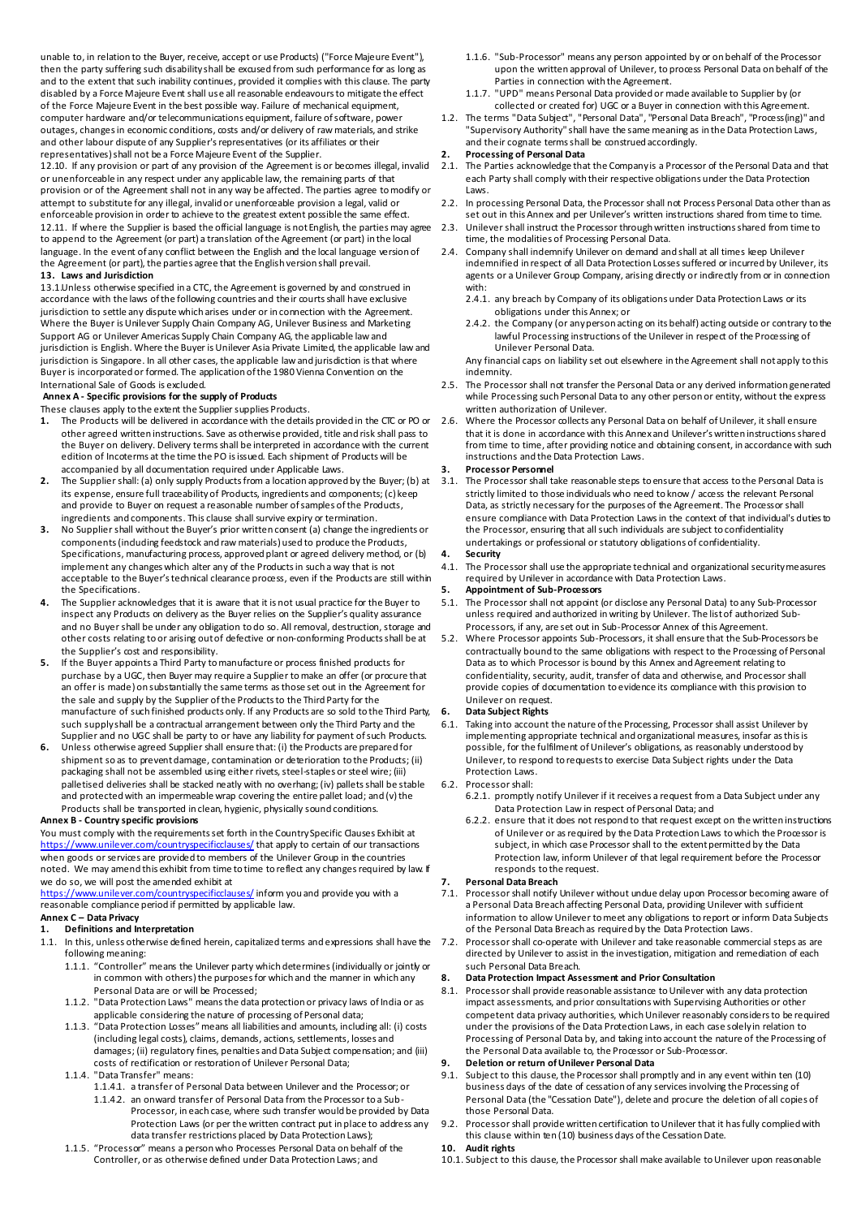unable to, in relation to the Buyer, receive, accept or use Products) ("Force Majeure Event"), then the party suffering such disability shall be excused from such performance for as long as and to the extent that such inability continues, provided it complies with this clause. The party disabled by a Force Majeure Event shall use all reasonable endeavours to mitigate the effect of the Force Majeure Event in the best possible way. Failure of mechanical equipment, computer hardware and/or telecommunications equipment, failure of software, power outages, changes in economic conditions, costs and/or delivery of raw materials, and strike and other labour dispute of any Supplier's representatives (or its affiliates or their representatives) shall not be a Force Majeure Event of the Supplier.

12.10. If any provision or part of any provision of the Agreement is or becomes illegal, invalid or unenforceable in any respect under any applicable law, the remaining parts of that provision or of the Agreement shall not in any way be affected. The parties agree to modify or attempt to substitute for any illegal, invalid or unenforceable provision a legal, valid or enforceable provision in order to achieve to the greatest extent possible the same effect. 12.11. If where the Supplier is based the official language is not English, the parties may agree to append to the Agreement (or part) a translation of the Agreement (or part) in the local language. In the event of any conflict between the English and the local language version of the Agreement (or part), the parties agree that the English version shall prevail. **13. Laws and Jurisdiction**

13.1.Unless otherwise specified in a CTC, the Agreement is governed by and construed in accordance with the laws of the following countries and their courts shall have exclusive jurisdiction to settle any dispute which arises under or in connection with the Agreement. Where the Buyer is Unilever Supply Chain Company AG, Unilever Business and Marketing Support AG or Unilever Americas Supply Chain Company AG, the applicable law and jurisdiction is English. Where the Buyer is Unilever Asia Private Limited, the applicable law and jurisdiction is Singapore. In all other cases, the applicable law and jurisdiction is that where Buyer is incorporated or formed. The application of the 1980 Vienna Convention on the International Sale of Goods is excluded.

#### **Annex A - Specific provisions for the supply of Products**

These clauses apply to the extent the Supplier supplies Products.<br>1. The Products will be delivered in accordance with the detail

- **1.** The Products will be delivered in accordance with the details provided in the CTC or PO or other agreed written instructions. Save as otherwise provided, title and risk shall pass to the Buyer on delivery. Delivery terms shall be interpreted in accordance with the current edition of Incoterms at the time the PO is issued. Each shipment of Products will be accompanied by all documentation required under Applicable Laws.
- **2.** The Supplier shall: (a) only supply Products from a location approved by the Buyer; (b) at its expense, ensure full traceability of Products, ingredients and components; (c) keep and provide to Buyer on request a reasonable number of samples of the Products, ingredients and components. This clause shall survive expiry or termination.
- **3.** No Supplier shall without the Buyer's prior written consent (a) change the ingredients or components (including feedstock and raw materials) used to produce the Products, Specifications, manufacturing process, approved plant or agreed delivery method, or (b) implement any changes which alter any of the Products in such a way that is not acceptable to the Buyer's technical clearance process, even if the Products are still within the Specifications.
- **4.** The Supplier acknowledges that it is aware that it is not usual practice for the Buyer to inspect any Products on delivery as the Buyer relies on the Supplier's quality assurance and no Buyer shall be under any obligation to do so. All removal, destruction, storage and other costs relating to or arising out of defective or non-conforming Products shall be at the Supplier's cost and responsibility.
- **5.** If the Buyer appoints a Third Party to manufacture or process finished products for purchase by a UGC, then Buyer may require a Supplier to make an offer (or procure that an offer is made) on substantially the same terms as those set out in the Agreement for the sale and supply by the Supplier of the Products to the Third Party for the manufacture of such finished products only. If any Products are so sold to the Third Party, such supply shall be a contractual arrangement between only the Third Party and the Supplier and no UGC shall be party to or have any liability for payment of such Products.
- **6.** Unless otherwise agreed Supplier shall ensure that: (i) the Products are prepared for shipment so as to prevent damage, contamination or deterioration to the Products; (ii) packaging shall not be assembled using either rivets, steel-staples or steel wire; (iii) palletised deliveries shall be stacked neatly with no overhang; (iv) pallets shall be stable and protected with an impermeable wrap covering the entire pallet load; and (v) the Products shall be transported in clean, hygienic, physically sound conditions.

#### **Annex B - Country specific provisions**

You must comply with the requirements set forth in the Country Specific Clauses Exhibit at  $www.unilever.com/countvspecificclauses/$  that apply to certain of our transactions when goods or services are provided to members of the Unilever Group in the countries noted. We may amend this exhibit from time to time to reflect any changes required by law. If we do so, we will post the amended exhibit at

<https://www.unilever.com/countryspecificclauses/> inform you and provide you with a reasonable compliance period if permitted by applicable law.

### **Annex C – Data Privacy**

# **1. Definitions and Interpretation**<br>**1.1.** In this, unless otherwise define

- In this, unless otherwise defined herein, capitalized terms and expressions shall have the following meaning:
	- 1.1.1. "Controller" means the Unilever party which determines (individually or jointly or in common with others) the purposes for which and the manner in which any Personal Data are or will be Processed;
	- 1.1.2. "Data Protection Laws" means the data protection or privacy laws of India or as applicable considering the nature of processing of Personal data;
	- 1.1.3. "Data Protection Losses" means all liabilities and amounts, including all: (i) costs (including legal costs), claims, demands, actions, settlements, losses and damages; (ii) regulatory fines, penalties and Data Subject compensation; and (iii) costs of rectification or restoration of Unilever Personal Data;
	- 1.1.4. "Data Transfer" means:
		- 1.1.4.1. a transfer of Personal Data between Unilever and the Processor; or 1.1.4.2. an onward transfer of Personal Data from the Processor to a Sub-Processor, in each case, where such transfer would be provided by Data Protection Laws (or per the written contract put in place to address any data transfer restrictions placed by Data Protection Laws);
	- 1.1.5. "Processor" means a person who Processes Personal Data on behalf of the Controller, or as otherwise defined under Data Protection Laws; and
- 1.1.6. "Sub-Processor" means any person appointed by or on behalf of the Processor upon the written approval of Unilever, to process Personal Data on behalf of the Parties in connection with the Agreement.
- 1.1.7. "UPD" means Personal Data provided or made available to Supplier by (or collected or created for) UGC or a Buyer in connection with this Agreement.
- 1.2. The terms "Data Subject", "Personal Data", "Personal Data Breach", "Process(ing)" and "Supervisory Authority" shall have the same meaning as in the Data Protection Laws, and their cognate terms shall be construed accordingly.

## **2. Processing of Personal Data**

- 2.1. The Parties acknowledge that the Company is a Processor of the Personal Data and that each Party shall comply with their respective obligations under the Data Protection Laws.
- 2.2. In processing Personal Data, the Processor shall not Process Personal Data other than as set out in this Annex and per Unilever's written instructions shared from time to time.
- 2.3. Unilever shall instruct the Processor through written instructions shared from time to time, the modalities of Processing Personal Data.
- 2.4. Company shall indemnify Unilever on demand and shall at all times keep Unilever indemnified in respect of all Data Protection Losses suffered or incurred by Unilever, its agents or a Unilever Group Company, arising directly or indirectly from or in connection with:
	- 2.4.1. any breach by Company of its obligations under Data Protection Laws or its obligations under this Annex; or
	- 2.4.2. the Company (or any person acting on its behalf) acting outside or contrary to the lawful Processing instructions of the Unilever in respect of the Processing of Unilever Personal Data.

Any financial caps on liability set out elsewhere in the Agreement shall not apply to this indemnity.

- 2.5. The Processor shall not transfer the Personal Data or any derived information generated while Processing such Personal Data to any other person or entity, without the express written authorization of Unilever.
- 2.6. Where the Processor collects any Personal Data on behalf of Unilever, it shall ensure that it is done in accordance with this Annex and Unilever's written instructions shared from time to time, after providing notice and obtaining consent, in accordance with such instructions and the Data Protection Laws.

## **3. Processor Personnel**

The Processor shall take reasonable steps to ensure that access to the Personal Data is strictly limited to those individuals who need to know / access the relevant Personal Data, as strictly necessary for the purposes of the Agreement. The Processor shall ensure compliance with Data Protection Laws in the context of that individual's duties to the Processor, ensuring that all such individuals are subject to confidentiality undertakings or professional or statutory obligations of confidentiality.

#### **4. Security**

4.1. The Processor shall use the appropriate technical and organizational security measures required by Unilever in accordance with Data Protection Laws.

## **5. Appointment of Sub-Processors**

- 5.1. The Processor shall not appoint (or disclose any Personal Data) to any Sub-Processor unless required and authorized in writing by Unilever. The list of authorized Sub-Processors, if any, are set out in Sub-Processor Annex of this Agreement.
- 5.2. Where Processor appoints Sub-Processors, it shall ensure that the Sub-Processors be contractually bound to the same obligations with respect to the Processing of Personal Data as to which Processor is bound by this Annex and Agreement relating to confidentiality, security, audit, transfer of data and otherwise, and Processor shall provide copies of documentation to evidence its compliance with this provision to Unilever on request.

#### **6. Data Subject Rights**

- 6.1. Taking into account the nature of the Processing, Processor shall assist Unilever by implementing appropriate technical and organizational measures, insofar as this is possible, for the fulfilment of Unilever's obligations, as reasonably understood by Unilever, to respond to requests to exercise Data Subject rights under the Data Protection Laws.
- 6.2. Processor shall:
	- 6.2.1. promptly notify Unilever if it receives a request from a Data Subject under any Data Protection Law in respect of Personal Data; and
	- 6.2.2. ensure that it does not respond to that request except on the written instructions of Unilever or as required by the Data Protection Laws to which the Processor is subject, in which case Processor shall to the extent permitted by the Data Protection law, inform Unilever of that legal requirement before the Processor responds to the request.

# **7. Personal Data Breach**

- Processor shall notify Unilever without undue delay upon Processor becoming aware of a Personal Data Breach affecting Personal Data, providing Unilever with sufficient information to allow Unilever to meet any obligations to report or inform Data Subjects of the Personal Data Breach as required by the Data Protection Laws.
- 7.2. Processor shall co-operate with Unilever and take reasonable commercial steps as are directed by Unilever to assist in the investigation, mitigation and remediation of each such Personal Data Breach.

#### **8. Data Protection Impact Assessment and Prior Consultation**

8.1. Processor shall provide reasonable assistance to Unilever with any data protection impact assessments, and prior consultations with Supervising Authorities or other competent data privacy authorities, which Unilever reasonably considers to be required under the provisions of the Data Protection Laws, in each case solely in relation to Processing of Personal Data by, and taking into account the nature of the Processing of the Personal Data available to, the Processor or Sub-Processor.

#### **9. Deletion or return of Unilever Personal Data**

- 9.1. Subject to this dause, the Processor shall promptly and in any event within ten (10) business days of the date of cessation of any services involving the Processing of Personal Data (the "Cessation Date"), delete and procure the deletion of all copies of those Personal Data.
- 9.2. Processor shall provide written certification to Unilever that it has fully complied with this clause within ten (10) business days of the Cessation Date.
- **10. Audit rights**
- 10.1. Subject to this dause, the Processor shall make available to Unilever upon reasonable